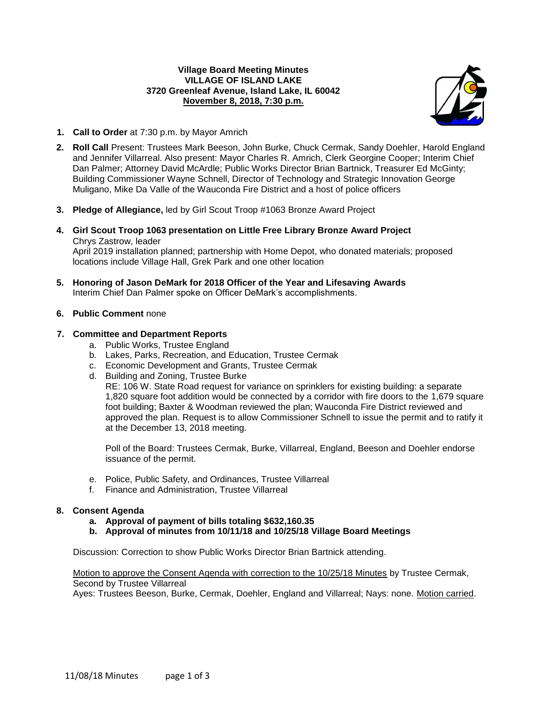### **Village Board Meeting Minutes VILLAGE OF ISLAND LAKE 3720 Greenleaf Avenue, Island Lake, IL 60042 November 8, 2018, 7:30 p.m.**



- **1. Call to Order** at 7:30 p.m. by Mayor Amrich
- **2. Roll Call** Present: Trustees Mark Beeson, John Burke, Chuck Cermak, Sandy Doehler, Harold England and Jennifer Villarreal. Also present: Mayor Charles R. Amrich, Clerk Georgine Cooper; Interim Chief Dan Palmer; Attorney David McArdle; Public Works Director Brian Bartnick, Treasurer Ed McGinty; Building Commissioner Wayne Schnell, Director of Technology and Strategic Innovation George Muligano, Mike Da Valle of the Wauconda Fire District and a host of police officers
- **3. Pledge of Allegiance,** led by Girl Scout Troop #1063 Bronze Award Project
- **4. Girl Scout Troop 1063 presentation on Little Free Library Bronze Award Project** Chrys Zastrow, leader April 2019 installation planned; partnership with Home Depot, who donated materials; proposed locations include Village Hall, Grek Park and one other location
- **5. Honoring of Jason DeMark for 2018 Officer of the Year and Lifesaving Awards** Interim Chief Dan Palmer spoke on Officer DeMark's accomplishments.

# **6. Public Comment** none

# **7. Committee and Department Reports**

- a. Public Works, Trustee England
- b. Lakes, Parks, Recreation, and Education, Trustee Cermak
- c. Economic Development and Grants, Trustee Cermak
- d. Building and Zoning, Trustee Burke

RE: 106 W. State Road request for variance on sprinklers for existing building: a separate 1,820 square foot addition would be connected by a corridor with fire doors to the 1,679 square foot building; Baxter & Woodman reviewed the plan; Wauconda Fire District reviewed and approved the plan. Request is to allow Commissioner Schnell to issue the permit and to ratify it at the December 13, 2018 meeting.

Poll of the Board: Trustees Cermak, Burke, Villarreal, England, Beeson and Doehler endorse issuance of the permit.

- e. Police, Public Safety, and Ordinances, Trustee Villarreal
- f. Finance and Administration, Trustee Villarreal

# **8. Consent Agenda**

- **a. Approval of payment of bills totaling \$632,160.35**
- **b. Approval of minutes from 10/11/18 and 10/25/18 Village Board Meetings**

Discussion: Correction to show Public Works Director Brian Bartnick attending.

Motion to approve the Consent Agenda with correction to the 10/25/18 Minutes by Trustee Cermak, Second by Trustee Villarreal

Ayes: Trustees Beeson, Burke, Cermak, Doehler, England and Villarreal; Nays: none. Motion carried.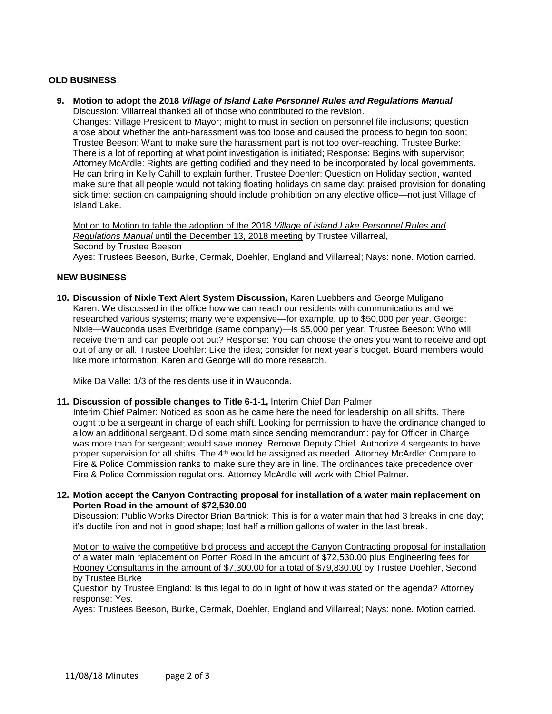## **OLD BUSINESS**

**9. Motion to adopt the 2018** *Village of Island Lake Personnel Rules and Regulations Manual* Discussion: Villarreal thanked all of those who contributed to the revision.

Changes: Village President to Mayor; might to must in section on personnel file inclusions; question arose about whether the anti-harassment was too loose and caused the process to begin too soon; Trustee Beeson: Want to make sure the harassment part is not too over-reaching. Trustee Burke: There is a lot of reporting at what point investigation is initiated; Response: Begins with supervisor; Attorney McArdle: Rights are getting codified and they need to be incorporated by local governments. He can bring in Kelly Cahill to explain further. Trustee Doehler: Question on Holiday section, wanted make sure that all people would not taking floating holidays on same day; praised provision for donating sick time; section on campaigning should include prohibition on any elective office—not just Village of Island Lake.

Motion to Motion to table the adoption of the 2018 *Village of Island Lake Personnel Rules and Regulations Manual* until the December 13, 2018 meeting by Trustee Villarreal, Second by Trustee Beeson

Ayes: Trustees Beeson, Burke, Cermak, Doehler, England and Villarreal; Nays: none. Motion carried.

## **NEW BUSINESS**

**10. Discussion of Nixle Text Alert System Discussion,** Karen Luebbers and George Muligano Karen: We discussed in the office how we can reach our residents with communications and we researched various systems; many were expensive—for example, up to \$50,000 per year. George: Nixle—Wauconda uses Everbridge (same company)—is \$5,000 per year. Trustee Beeson: Who will receive them and can people opt out? Response: You can choose the ones you want to receive and opt out of any or all. Trustee Doehler: Like the idea; consider for next year's budget. Board members would like more information; Karen and George will do more research.

Mike Da Valle: 1/3 of the residents use it in Wauconda.

**11. Discussion of possible changes to Title 6-1-1,** Interim Chief Dan Palmer

Interim Chief Palmer: Noticed as soon as he came here the need for leadership on all shifts. There ought to be a sergeant in charge of each shift. Looking for permission to have the ordinance changed to allow an additional sergeant. Did some math since sending memorandum: pay for Officer in Charge was more than for sergeant; would save money. Remove Deputy Chief. Authorize 4 sergeants to have proper supervision for all shifts. The 4<sup>th</sup> would be assigned as needed. Attorney McArdle: Compare to Fire & Police Commission ranks to make sure they are in line. The ordinances take precedence over Fire & Police Commission regulations. Attorney McArdle will work with Chief Palmer.

**12. Motion accept the Canyon Contracting proposal for installation of a water main replacement on Porten Road in the amount of \$72,530.00**

Discussion: Public Works Director Brian Bartnick: This is for a water main that had 3 breaks in one day; it's ductile iron and not in good shape; lost half a million gallons of water in the last break.

Motion to waive the competitive bid process and accept the Canyon Contracting proposal for installation of a water main replacement on Porten Road in the amount of \$72,530.00 plus Engineering fees for Rooney Consultants in the amount of \$7,300.00 for a total of \$79,830.00 by Trustee Doehler, Second by Trustee Burke

Question by Trustee England: Is this legal to do in light of how it was stated on the agenda? Attorney response: Yes.

Ayes: Trustees Beeson, Burke, Cermak, Doehler, England and Villarreal; Nays: none. Motion carried.